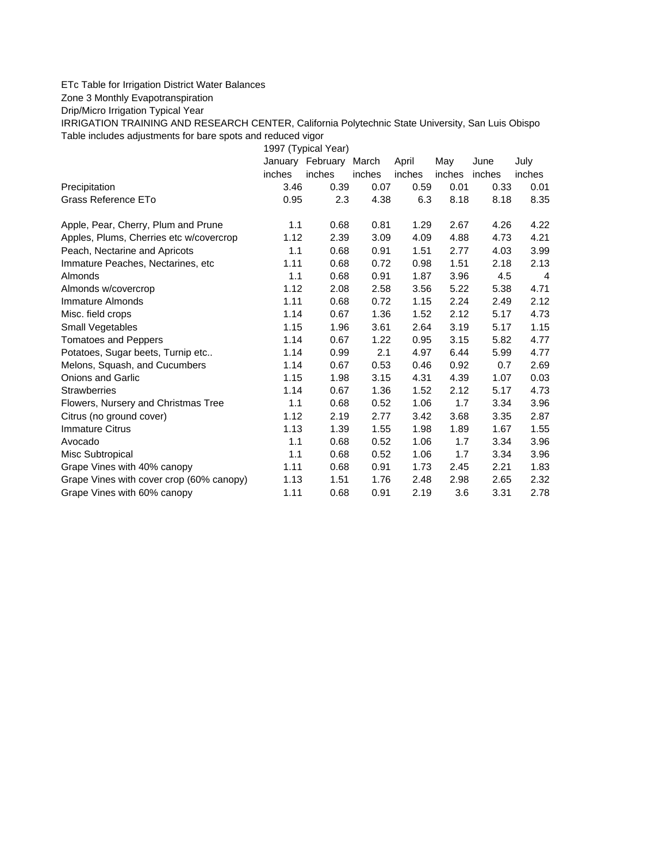## ETc Table for Irrigation District Water Balances

Zone 3 Monthly Evapotranspiration

Drip/Micro Irrigation Typical Year

IRRIGATION TRAINING AND RESEARCH CENTER, California Polytechnic State University, San Luis Obispo Table includes adjustments for bare spots and reduced vigor

1997 (Typical Year) January February March April May June July inches inches inches inches inches inches inches Precipitation 3.46 0.39 0.07 0.59 0.01 0.33 0.01 Grass Reference ETo **0.95** 2.3 4.38 6.3 8.18 8.35 Apple, Pear, Cherry, Plum and Prune 1.1 0.68 0.81 1.29 2.67 4.26 4.22 Apples, Plums, Cherries etc w/covercrop 1.12 2.39 3.09 4.09 4.88 4.73 4.21 Peach, Nectarine and Apricots 1.1 0.68 0.91 1.51 2.77 4.03 3.99 Immature Peaches, Nectarines, etc 1.11 0.68 0.72 0.98 1.51 2.18 2.13 Almonds 1.1 0.68 0.91 1.87 3.96 4.5 4 Almonds w/covercrop 1.12 2.08 2.58 3.56 5.22 5.38 4.71 Immature Almonds 1.11 0.68 0.72 1.15 2.24 2.49 2.12 Misc. field crops 1.14 0.67 1.36 1.52 2.12 5.17 4.73 Small Vegetables 1.15 1.96 3.61 2.64 3.19 5.17 1.15 Tomatoes and Peppers 1.14 0.67 1.22 0.95 3.15 5.82 4.77 Potatoes, Sugar beets, Turnip etc.. 1.14 0.99 2.1 4.97 6.44 5.99 4.77 Melons, Squash, and Cucumbers 1.14 0.67 0.53 0.46 0.92 0.7 2.69 Onions and Garlic 1.15 1.98 3.15 4.31 4.39 1.07 0.03 Strawberries 1.14 0.67 1.36 1.52 2.12 5.17 4.73 Flowers, Nursery and Christmas Tree 1.1 0.68 0.52 1.06 1.7 3.34 3.96 Citrus (no ground cover) 1.12 2.19 2.77 3.42 3.68 3.35 2.87 Immature Citrus 1.13 1.39 1.55 1.98 1.89 1.67 1.55 Avocado 1.1 0.68 0.52 1.06 1.7 3.34 3.96 Misc Subtropical 1.1 0.68 0.52 1.06 1.7 3.34 3.96 Grape Vines with 40% canopy 1.11 0.68 0.91 1.73 2.45 2.21 1.83 Grape Vines with cover crop (60% canopy)  $1.13$   $1.51$   $1.76$   $2.48$   $2.98$   $2.65$   $2.32$ Grape Vines with 60% canopy  $\begin{array}{cccc} 1.11 & 0.68 & 0.91 & 2.19 & 3.6 & 3.31 & 2.78 \end{array}$